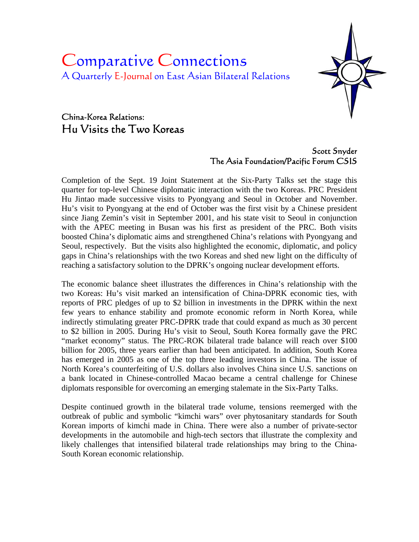# Comparative Connections A Quarterly E-Journal on East Asian Bilateral Relations



# China-Korea Relations: Hu Visits the Two Koreas

# Scott Snyder The Asia Foundation/Pacific Forum CSIS

Completion of the Sept. 19 Joint Statement at the Six-Party Talks set the stage this quarter for top-level Chinese diplomatic interaction with the two Koreas. PRC President Hu Jintao made successive visits to Pyongyang and Seoul in October and November. Hu's visit to Pyongyang at the end of October was the first visit by a Chinese president since Jiang Zemin's visit in September 2001, and his state visit to Seoul in conjunction with the APEC meeting in Busan was his first as president of the PRC. Both visits boosted China's diplomatic aims and strengthened China's relations with Pyongyang and Seoul, respectively. But the visits also highlighted the economic, diplomatic, and policy gaps in China's relationships with the two Koreas and shed new light on the difficulty of reaching a satisfactory solution to the DPRK's ongoing nuclear development efforts.

The economic balance sheet illustrates the differences in China's relationship with the two Koreas: Hu's visit marked an intensification of China-DPRK economic ties, with reports of PRC pledges of up to \$2 billion in investments in the DPRK within the next few years to enhance stability and promote economic reform in North Korea, while indirectly stimulating greater PRC-DPRK trade that could expand as much as 30 percent to \$2 billion in 2005. During Hu's visit to Seoul, South Korea formally gave the PRC "market economy" status. The PRC-ROK bilateral trade balance will reach over \$100 billion for 2005, three years earlier than had been anticipated. In addition, South Korea has emerged in 2005 as one of the top three leading investors in China. The issue of North Korea's counterfeiting of U.S. dollars also involves China since U.S. sanctions on a bank located in Chinese-controlled Macao became a central challenge for Chinese diplomats responsible for overcoming an emerging stalemate in the Six-Party Talks.

Despite continued growth in the bilateral trade volume, tensions reemerged with the outbreak of public and symbolic "kimchi wars" over phytosanitary standards for South Korean imports of kimchi made in China. There were also a number of private-sector developments in the automobile and high-tech sectors that illustrate the complexity and likely challenges that intensified bilateral trade relationships may bring to the China-South Korean economic relationship.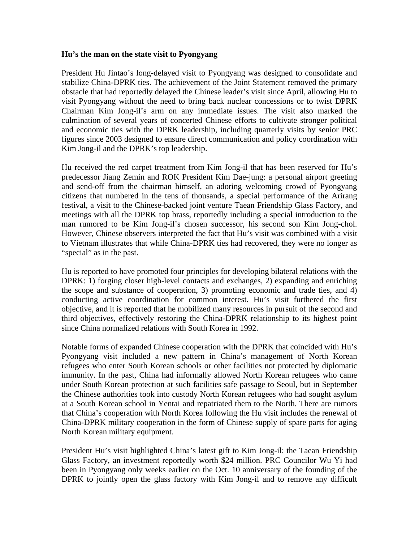#### **Hu's the man on the state visit to Pyongyang**

President Hu Jintao's long-delayed visit to Pyongyang was designed to consolidate and stabilize China-DPRK ties. The achievement of the Joint Statement removed the primary obstacle that had reportedly delayed the Chinese leader's visit since April, allowing Hu to visit Pyongyang without the need to bring back nuclear concessions or to twist DPRK Chairman Kim Jong-il's arm on any immediate issues. The visit also marked the culmination of several years of concerted Chinese efforts to cultivate stronger political and economic ties with the DPRK leadership, including quarterly visits by senior PRC figures since 2003 designed to ensure direct communication and policy coordination with Kim Jong-il and the DPRK's top leadership.

Hu received the red carpet treatment from Kim Jong-il that has been reserved for Hu's predecessor Jiang Zemin and ROK President Kim Dae-jung: a personal airport greeting and send-off from the chairman himself, an adoring welcoming crowd of Pyongyang citizens that numbered in the tens of thousands, a special performance of the Arirang festival, a visit to the Chinese-backed joint venture Taean Friendship Glass Factory, and meetings with all the DPRK top brass, reportedly including a special introduction to the man rumored to be Kim Jong-il's chosen successor, his second son Kim Jong-chol. However, Chinese observers interpreted the fact that Hu's visit was combined with a visit to Vietnam illustrates that while China-DPRK ties had recovered, they were no longer as "special" as in the past.

Hu is reported to have promoted four principles for developing bilateral relations with the DPRK: 1) forging closer high-level contacts and exchanges, 2) expanding and enriching the scope and substance of cooperation, 3) promoting economic and trade ties, and 4) conducting active coordination for common interest. Hu's visit furthered the first objective, and it is reported that he mobilized many resources in pursuit of the second and third objectives, effectively restoring the China-DPRK relationship to its highest point since China normalized relations with South Korea in 1992.

Notable forms of expanded Chinese cooperation with the DPRK that coincided with Hu's Pyongyang visit included a new pattern in China's management of North Korean refugees who enter South Korean schools or other facilities not protected by diplomatic immunity. In the past, China had informally allowed North Korean refugees who came under South Korean protection at such facilities safe passage to Seoul, but in September the Chinese authorities took into custody North Korean refugees who had sought asylum at a South Korean school in Yentai and repatriated them to the North. There are rumors that China's cooperation with North Korea following the Hu visit includes the renewal of China-DPRK military cooperation in the form of Chinese supply of spare parts for aging North Korean military equipment.

President Hu's visit highlighted China's latest gift to Kim Jong-il: the Taean Friendship Glass Factory, an investment reportedly worth \$24 million. PRC Councilor Wu Yi had been in Pyongyang only weeks earlier on the Oct. 10 anniversary of the founding of the DPRK to jointly open the glass factory with Kim Jong-il and to remove any difficult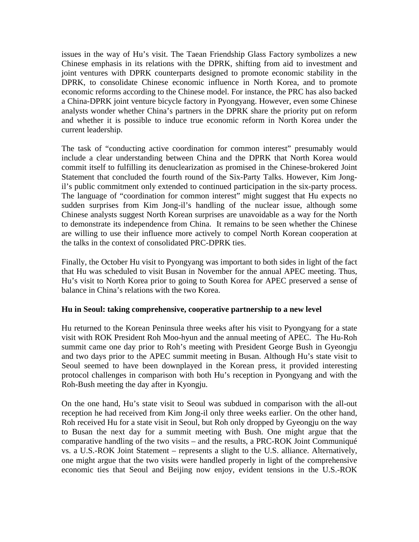issues in the way of Hu's visit. The Taean Friendship Glass Factory symbolizes a new Chinese emphasis in its relations with the DPRK, shifting from aid to investment and joint ventures with DPRK counterparts designed to promote economic stability in the DPRK, to consolidate Chinese economic influence in North Korea, and to promote economic reforms according to the Chinese model. For instance, the PRC has also backed a China-DPRK joint venture bicycle factory in Pyongyang. However, even some Chinese analysts wonder whether China's partners in the DPRK share the priority put on reform and whether it is possible to induce true economic reform in North Korea under the current leadership.

The task of "conducting active coordination for common interest" presumably would include a clear understanding between China and the DPRK that North Korea would commit itself to fulfilling its denuclearization as promised in the Chinese-brokered Joint Statement that concluded the fourth round of the Six-Party Talks. However, Kim Jongil's public commitment only extended to continued participation in the six-party process. The language of "coordination for common interest" might suggest that Hu expects no sudden surprises from Kim Jong-il's handling of the nuclear issue, although some Chinese analysts suggest North Korean surprises are unavoidable as a way for the North to demonstrate its independence from China. It remains to be seen whether the Chinese are willing to use their influence more actively to compel North Korean cooperation at the talks in the context of consolidated PRC-DPRK ties.

Finally, the October Hu visit to Pyongyang was important to both sides in light of the fact that Hu was scheduled to visit Busan in November for the annual APEC meeting. Thus, Hu's visit to North Korea prior to going to South Korea for APEC preserved a sense of balance in China's relations with the two Korea.

### **Hu in Seoul: taking comprehensive, cooperative partnership to a new level**

Hu returned to the Korean Peninsula three weeks after his visit to Pyongyang for a state visit with ROK President Roh Moo-hyun and the annual meeting of APEC. The Hu-Roh summit came one day prior to Roh's meeting with President George Bush in Gyeongju and two days prior to the APEC summit meeting in Busan. Although Hu's state visit to Seoul seemed to have been downplayed in the Korean press, it provided interesting protocol challenges in comparison with both Hu's reception in Pyongyang and with the Roh-Bush meeting the day after in Kyongju.

On the one hand, Hu's state visit to Seoul was subdued in comparison with the all-out reception he had received from Kim Jong-il only three weeks earlier. On the other hand, Roh received Hu for a state visit in Seoul, but Roh only dropped by Gyeongju on the way to Busan the next day for a summit meeting with Bush. One might argue that the comparative handling of the two visits – and the results, a PRC-ROK Joint Communiqué vs. a U.S.-ROK Joint Statement – represents a slight to the U.S. alliance. Alternatively, one might argue that the two visits were handled properly in light of the comprehensive economic ties that Seoul and Beijing now enjoy, evident tensions in the U.S.-ROK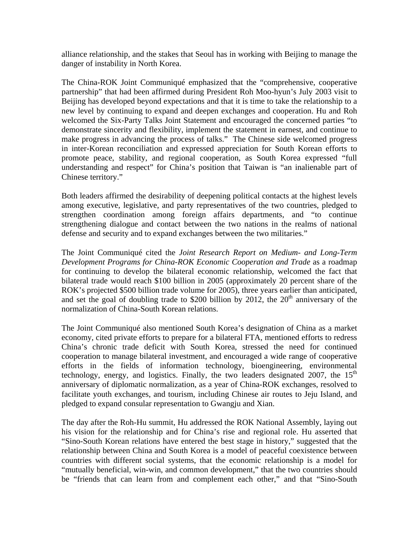alliance relationship, and the stakes that Seoul has in working with Beijing to manage the danger of instability in North Korea.

The China-ROK Joint Communiqué emphasized that the "comprehensive, cooperative partnership" that had been affirmed during President Roh Moo-hyun's July 2003 visit to Beijing has developed beyond expectations and that it is time to take the relationship to a new level by continuing to expand and deepen exchanges and cooperation. Hu and Roh welcomed the Six-Party Talks Joint Statement and encouraged the concerned parties "to demonstrate sincerity and flexibility, implement the statement in earnest, and continue to make progress in advancing the process of talks." The Chinese side welcomed progress in inter-Korean reconciliation and expressed appreciation for South Korean efforts to promote peace, stability, and regional cooperation, as South Korea expressed "full understanding and respect" for China's position that Taiwan is "an inalienable part of Chinese territory."

Both leaders affirmed the desirability of deepening political contacts at the highest levels among executive, legislative, and party representatives of the two countries, pledged to strengthen coordination among foreign affairs departments, and "to continue strengthening dialogue and contact between the two nations in the realms of national defense and security and to expand exchanges between the two militaries."

The Joint Communiqué cited the *Joint Research Report on Medium- and Long-Term Development Programs for China-ROK Economic Cooperation and Trade* as a roadmap for continuing to develop the bilateral economic relationship, welcomed the fact that bilateral trade would reach \$100 billion in 2005 (approximately 20 percent share of the ROK's projected \$500 billion trade volume for 2005), three years earlier than anticipated, and set the goal of doubling trade to \$200 billion by 2012, the  $20<sup>th</sup>$  anniversary of the normalization of China-South Korean relations.

The Joint Communiqué also mentioned South Korea's designation of China as a market economy, cited private efforts to prepare for a bilateral FTA, mentioned efforts to redress China's chronic trade deficit with South Korea, stressed the need for continued cooperation to manage bilateral investment, and encouraged a wide range of cooperative efforts in the fields of information technology, bioengineering, environmental technology, energy, and logistics. Finally, the two leaders designated 2007, the  $15<sup>th</sup>$ anniversary of diplomatic normalization, as a year of China-ROK exchanges, resolved to facilitate youth exchanges, and tourism, including Chinese air routes to Jeju Island, and pledged to expand consular representation to Gwangju and Xian.

The day after the Roh-Hu summit, Hu addressed the ROK National Assembly, laying out his vision for the relationship and for China's rise and regional role. Hu asserted that "Sino-South Korean relations have entered the best stage in history," suggested that the relationship between China and South Korea is a model of peaceful coexistence between countries with different social systems, that the economic relationship is a model for "mutually beneficial, win-win, and common development," that the two countries should be "friends that can learn from and complement each other," and that "Sino-South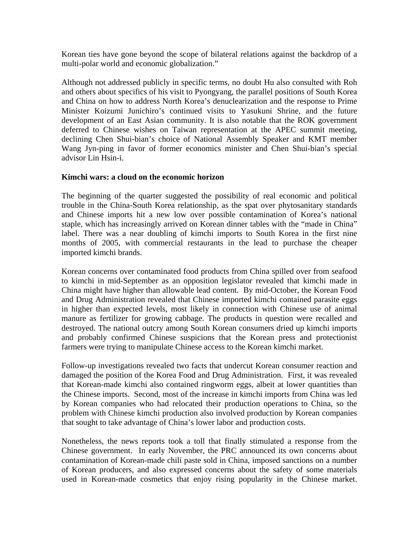Korean ties have gone beyond the scope of bilateral relations against the backdrop of a multi-polar world and economic globalization."

Although not addressed publicly in specific terms, no doubt Hu also consulted with Roh and others about specifics of his visit to Pyongyang, the parallel positions of South Korea and China on how to address North Korea's denuclearization and the response to Prime Minister Koizumi Junichiro's continued visits to Yasukuni Shrine, and the future development of an East Asian community. It is also notable that the ROK government deferred to Chinese wishes on Taiwan representation at the APEC summit meeting, declining Chen Shui-bian's choice of National Assembly Speaker and KMT member Wang Jyn-ping in favor of former economics minister and Chen Shui-bian's special advisor Lin Hsin-i.

#### **Kimchi wars: a cloud on the economic horizon**

The beginning of the quarter suggested the possibility of real economic and political trouble in the China-South Korea relationship, as the spat over phytosanitary standards and Chinese imports hit a new low over possible contamination of Korea's national staple, which has increasingly arrived on Korean dinner tables with the "made in China" label. There was a near doubling of kimchi imports to South Korea in the first nine months of 2005, with commercial restaurants in the lead to purchase the cheaper imported kimchi brands.

Korean concerns over contaminated food products from China spilled over from seafood to kimchi in mid-September as an opposition legislator revealed that kimchi made in China might have higher than allowable lead content. By mid-October, the Korean Food and Drug Administration revealed that Chinese imported kimchi contained parasite eggs in higher than expected levels, most likely in connection with Chinese use of animal manure as fertilizer for growing cabbage. The products in question were recalled and destroyed. The national outcry among South Korean consumers dried up kimchi imports and probably confirmed Chinese suspicions that the Korean press and protectionist farmers were trying to manipulate Chinese access to the Korean kimchi market.

Follow-up investigations revealed two facts that undercut Korean consumer reaction and damaged the position of the Korea Food and Drug Administration. First, it was revealed that Korean-made kimchi also contained ringworm eggs, albeit at lower quantities than the Chinese imports. Second, most of the increase in kimchi imports from China was led by Korean companies who had relocated their production operations to China, so the problem with Chinese kimchi production also involved production by Korean companies that sought to take advantage of China's lower labor and production costs.

Nonetheless, the news reports took a toll that finally stimulated a response from the Chinese government. In early November, the PRC announced its own concerns about contamination of Korean-made chili paste sold in China, imposed sanctions on a number of Korean producers, and also expressed concerns about the safety of some materials used in Korean-made cosmetics that enjoy rising popularity in the Chinese market.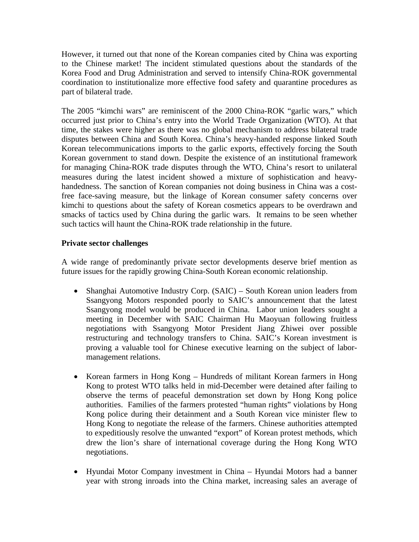However, it turned out that none of the Korean companies cited by China was exporting to the Chinese market! The incident stimulated questions about the standards of the Korea Food and Drug Administration and served to intensify China-ROK governmental coordination to institutionalize more effective food safety and quarantine procedures as part of bilateral trade.

The 2005 "kimchi wars" are reminiscent of the 2000 China-ROK "garlic wars," which occurred just prior to China's entry into the World Trade Organization (WTO). At that time, the stakes were higher as there was no global mechanism to address bilateral trade disputes between China and South Korea. China's heavy-handed response linked South Korean telecommunications imports to the garlic exports, effectively forcing the South Korean government to stand down. Despite the existence of an institutional framework for managing China-ROK trade disputes through the WTO, China's resort to unilateral measures during the latest incident showed a mixture of sophistication and heavyhandedness. The sanction of Korean companies not doing business in China was a costfree face-saving measure, but the linkage of Korean consumer safety concerns over kimchi to questions about the safety of Korean cosmetics appears to be overdrawn and smacks of tactics used by China during the garlic wars. It remains to be seen whether such tactics will haunt the China-ROK trade relationship in the future.

#### **Private sector challenges**

A wide range of predominantly private sector developments deserve brief mention as future issues for the rapidly growing China-South Korean economic relationship.

- Shanghai Automotive Industry Corp. (SAIC) South Korean union leaders from Ssangyong Motors responded poorly to SAIC's announcement that the latest Ssangyong model would be produced in China. Labor union leaders sought a meeting in December with SAIC Chairman Hu Maoyuan following fruitless negotiations with Ssangyong Motor President Jiang Zhiwei over possible restructuring and technology transfers to China. SAIC's Korean investment is proving a valuable tool for Chinese executive learning on the subject of labormanagement relations.
- Korean farmers in Hong Kong Hundreds of militant Korean farmers in Hong Kong to protest WTO talks held in mid-December were detained after failing to observe the terms of peaceful demonstration set down by Hong Kong police authorities. Families of the farmers protested "human rights" violations by Hong Kong police during their detainment and a South Korean vice minister flew to Hong Kong to negotiate the release of the farmers. Chinese authorities attempted to expeditiously resolve the unwanted "export" of Korean protest methods, which drew the lion's share of international coverage during the Hong Kong WTO negotiations.
- Hyundai Motor Company investment in China Hyundai Motors had a banner year with strong inroads into the China market, increasing sales an average of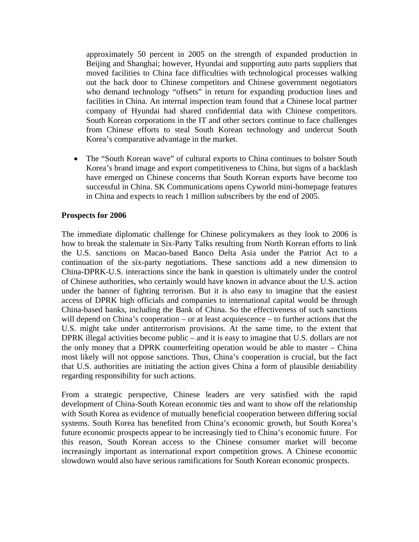approximately 50 percent in 2005 on the strength of expanded production in Beijing and Shanghai; however, Hyundai and supporting auto parts suppliers that moved facilities to China face difficulties with technological processes walking out the back door to Chinese competitors and Chinese government negotiators who demand technology "offsets" in return for expanding production lines and facilities in China. An internal inspection team found that a Chinese local partner company of Hyundai had shared confidential data with Chinese competitors. South Korean corporations in the IT and other sectors continue to face challenges from Chinese efforts to steal South Korean technology and undercut South Korea's comparative advantage in the market.

• The "South Korean wave" of cultural exports to China continues to bolster South Korea's brand image and export competitiveness to China, but signs of a backlash have emerged on Chinese concerns that South Korean exports have become too successful in China. SK Communications opens Cyworld mini-homepage features in China and expects to reach 1 million subscribers by the end of 2005.

#### **Prospects for 2006**

The immediate diplomatic challenge for Chinese policymakers as they look to 2006 is how to break the stalemate in Six-Party Talks resulting from North Korean efforts to link the U.S. sanctions on Macao-based Banco Delta Asia under the Patriot Act to a continuation of the six-party negotiations. These sanctions add a new dimension to China-DPRK-U.S. interactions since the bank in question is ultimately under the control of Chinese authorities, who certainly would have known in advance about the U.S. action under the banner of fighting terrorism. But it is also easy to imagine that the easiest access of DPRK high officials and companies to international capital would be through China-based banks, including the Bank of China. So the effectiveness of such sanctions will depend on China's cooperation – or at least acquiescence – to further actions that the U.S. might take under antiterrorism provisions. At the same time, to the extent that DPRK illegal activities become public – and it is easy to imagine that U.S. dollars are not the only money that a DPRK counterfeiting operation would be able to master – China most likely will not oppose sanctions. Thus, China's cooperation is crucial, but the fact that U.S. authorities are initiating the action gives China a form of plausible deniability regarding responsibility for such actions.

From a strategic perspective, Chinese leaders are very satisfied with the rapid development of China-South Korean economic ties and want to show off the relationship with South Korea as evidence of mutually beneficial cooperation between differing social systems. South Korea has benefited from China's economic growth, but South Korea's future economic prospects appear to be increasingly tied to China's economic future. For this reason, South Korean access to the Chinese consumer market will become increasingly important as international export competition grows. A Chinese economic slowdown would also have serious ramifications for South Korean economic prospects.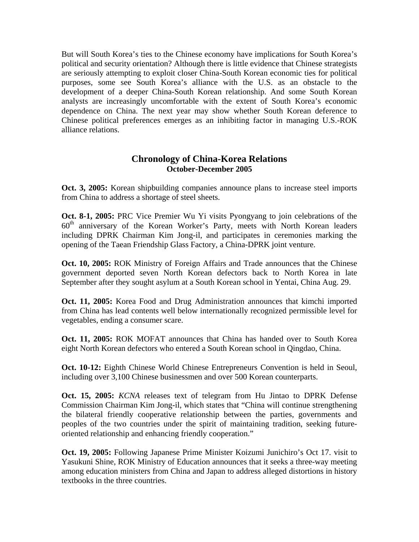But will South Korea's ties to the Chinese economy have implications for South Korea's political and security orientation? Although there is little evidence that Chinese strategists are seriously attempting to exploit closer China-South Korean economic ties for political purposes, some see South Korea's alliance with the U.S. as an obstacle to the development of a deeper China-South Korean relationship. And some South Korean analysts are increasingly uncomfortable with the extent of South Korea's economic dependence on China. The next year may show whether South Korean deference to Chinese political preferences emerges as an inhibiting factor in managing U.S.-ROK alliance relations.

## **Chronology of China-Korea Relations October-December 2005**

**Oct. 3, 2005:** Korean shipbuilding companies announce plans to increase steel imports from China to address a shortage of steel sheets.

**Oct. 8-1, 2005:** PRC Vice Premier Wu Yi visits Pyongyang to join celebrations of the  $60<sup>th</sup>$  anniversary of the Korean Worker's Party, meets with North Korean leaders including DPRK Chairman Kim Jong-il, and participates in ceremonies marking the opening of the Taean Friendship Glass Factory, a China-DPRK joint venture.

**Oct. 10, 2005:** ROK Ministry of Foreign Affairs and Trade announces that the Chinese government deported seven North Korean defectors back to North Korea in late September after they sought asylum at a South Korean school in Yentai, China Aug. 29.

**Oct. 11, 2005:** Korea Food and Drug Administration announces that kimchi imported from China has lead contents well below internationally recognized permissible level for vegetables, ending a consumer scare.

**Oct. 11, 2005:** ROK MOFAT announces that China has handed over to South Korea eight North Korean defectors who entered a South Korean school in Qingdao, China.

**Oct. 10-12:** Eighth Chinese World Chinese Entrepreneurs Convention is held in Seoul, including over 3,100 Chinese businessmen and over 500 Korean counterparts.

**Oct. 15, 2005:** *KCNA* releases text of telegram from Hu Jintao to DPRK Defense Commission Chairman Kim Jong-il, which states that "China will continue strengthening the bilateral friendly cooperative relationship between the parties, governments and peoples of the two countries under the spirit of maintaining tradition, seeking futureoriented relationship and enhancing friendly cooperation."

**Oct. 19, 2005:** Following Japanese Prime Minister Koizumi Junichiro's Oct 17. visit to Yasukuni Shine, ROK Ministry of Education announces that it seeks a three-way meeting among education ministers from China and Japan to address alleged distortions in history textbooks in the three countries.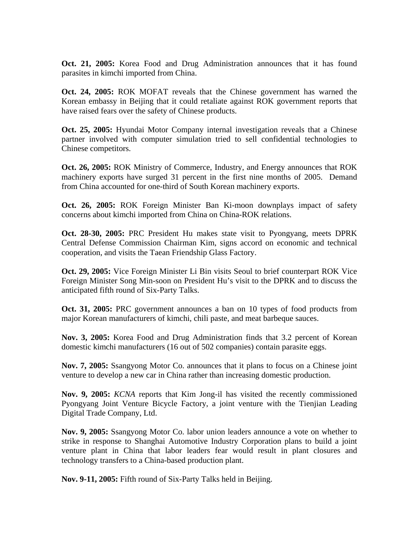**Oct. 21, 2005:** Korea Food and Drug Administration announces that it has found parasites in kimchi imported from China.

**Oct. 24, 2005:** ROK MOFAT reveals that the Chinese government has warned the Korean embassy in Beijing that it could retaliate against ROK government reports that have raised fears over the safety of Chinese products.

**Oct. 25, 2005:** Hyundai Motor Company internal investigation reveals that a Chinese partner involved with computer simulation tried to sell confidential technologies to Chinese competitors.

**Oct. 26, 2005:** ROK Ministry of Commerce, Industry, and Energy announces that ROK machinery exports have surged 31 percent in the first nine months of 2005. Demand from China accounted for one-third of South Korean machinery exports.

**Oct. 26, 2005:** ROK Foreign Minister Ban Ki-moon downplays impact of safety concerns about kimchi imported from China on China-ROK relations.

**Oct. 28-30, 2005:** PRC President Hu makes state visit to Pyongyang, meets DPRK Central Defense Commission Chairman Kim, signs accord on economic and technical cooperation, and visits the Taean Friendship Glass Factory.

**Oct. 29, 2005:** Vice Foreign Minister Li Bin visits Seoul to brief counterpart ROK Vice Foreign Minister Song Min-soon on President Hu's visit to the DPRK and to discuss the anticipated fifth round of Six-Party Talks.

**Oct. 31, 2005:** PRC government announces a ban on 10 types of food products from major Korean manufacturers of kimchi, chili paste, and meat barbeque sauces.

**Nov. 3, 2005:** Korea Food and Drug Administration finds that 3.2 percent of Korean domestic kimchi manufacturers (16 out of 502 companies) contain parasite eggs.

**Nov. 7, 2005:** Ssangyong Motor Co. announces that it plans to focus on a Chinese joint venture to develop a new car in China rather than increasing domestic production.

**Nov. 9, 2005:** *KCNA* reports that Kim Jong-il has visited the recently commissioned Pyongyang Joint Venture Bicycle Factory, a joint venture with the Tienjian Leading Digital Trade Company, Ltd.

**Nov. 9, 2005:** Ssangyong Motor Co. labor union leaders announce a vote on whether to strike in response to Shanghai Automotive Industry Corporation plans to build a joint venture plant in China that labor leaders fear would result in plant closures and technology transfers to a China-based production plant.

**Nov. 9-11, 2005:** Fifth round of Six-Party Talks held in Beijing.